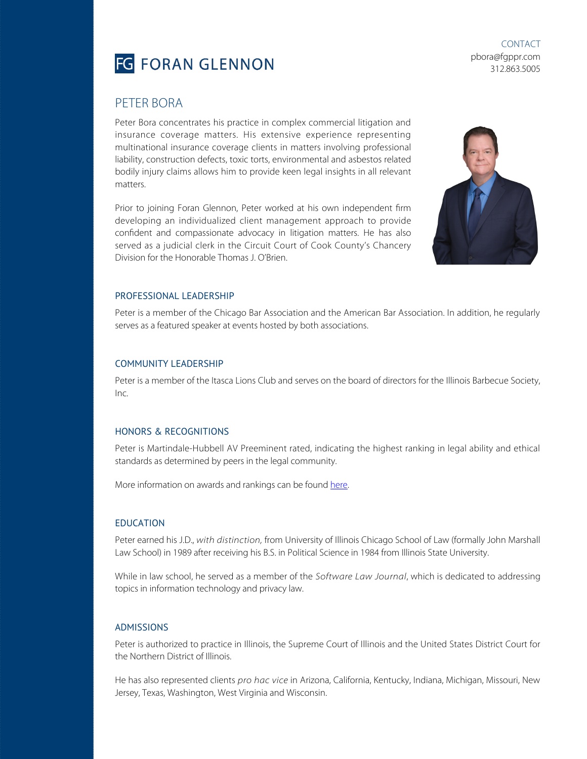

CONTACT pbora@fgppr.com 312.863.5005

## PETER BORA

Peter Bora concentrates his practice in complex commercial litigation and insurance coverage matters. His extensive experience representing multinational insurance coverage clients in matters involving professional liability, construction defects, toxic torts, environmental and asbestos related bodily injury claims allows him to provide keen legal insights in all relevant matters.

Prior to joining Foran Glennon, Peter worked at his own independent firm developing an individualized client management approach to provide confident and compassionate advocacy in litigation matters. He has also served as a judicial clerk in the Circuit Court of Cook County's Chancery Division for the Honorable Thomas J. O'Brien.



#### PROFESSIONAL LEADERSHIP

Peter is a member of the Chicago Bar Association and the American Bar Association. In addition, he regularly serves as a featured speaker at events hosted by both associations.

#### COMMUNITY LEADERSHIP

Peter is a member of the Itasca Lions Club and serves on the board of directors for the Illinois Barbecue Society,  $Inc$ 

#### HONORS & RECOGNITIONS

Peter is Martindale-Hubbell AV Preeminent rated, indicating the highest ranking in legal ability and ethical standards as determined by peers in the legal community.

More information on awards and rankings can be found [here.](https://fgppr.wpengine.com/awards-and-rankings/)

#### EDUCATION

Peter earned his J.D., with distinction, from University of Illinois Chicago School of Law (formally John Marshall Law School) in 1989 after receiving his B.S. in Political Science in 1984 from Illinois State University.

While in law school, he served as a member of the Software Law Journal, which is dedicated to addressing topics in information technology and privacy law.

### ADMISSIONS

Peter is authorized to practice in Illinois, the Supreme Court of Illinois and the United States District Court for the Northern District of Illinois.

He has also represented clients pro hac vice in Arizona, California, Kentucky, Indiana, Michigan, Missouri, New Jersey, Texas, Washington, West Virginia and Wisconsin.